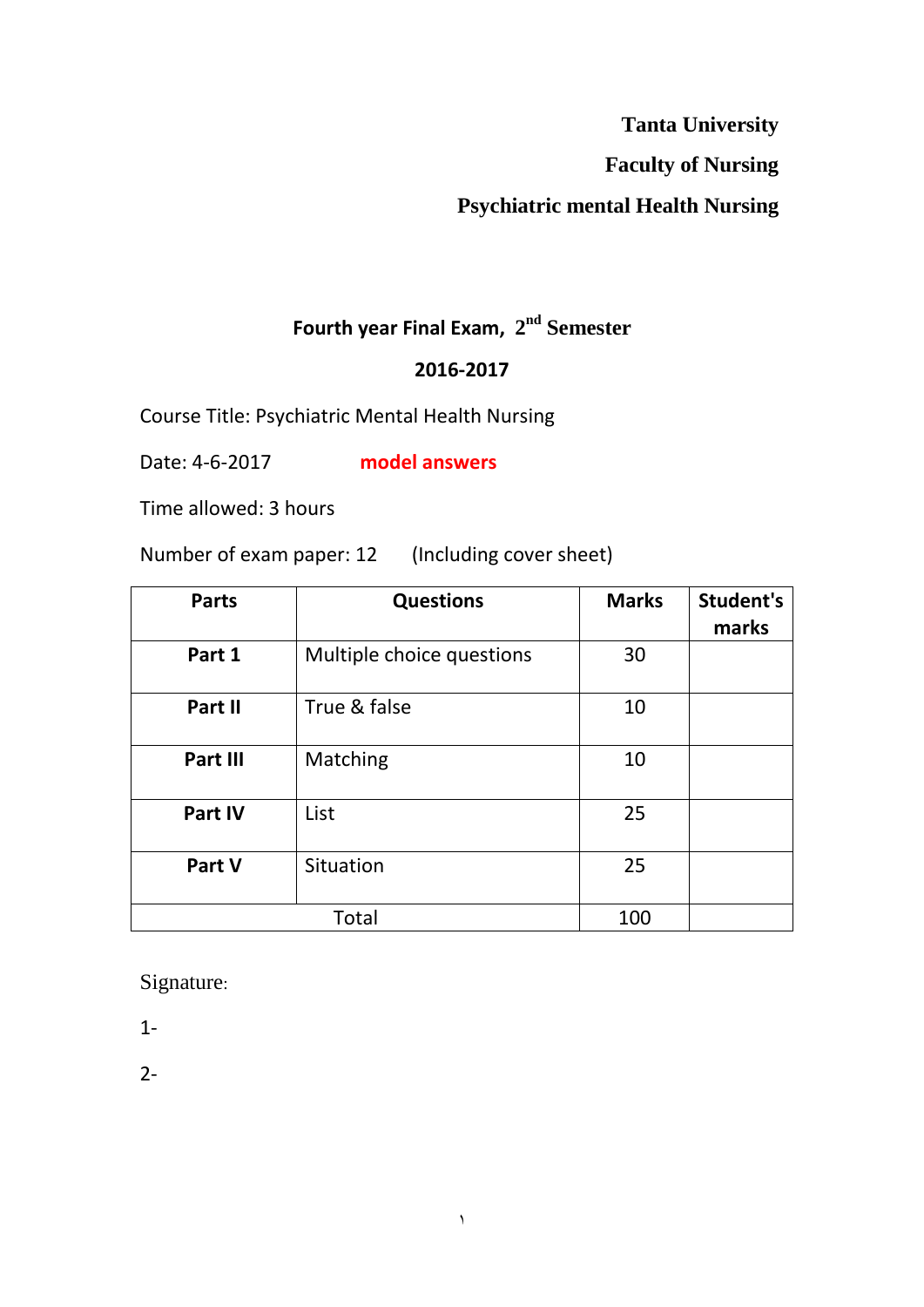**Tanta University** 

**Faculty of Nursing** 

## **Psychiatric mental Health Nursing**

#### **Fourth year Final Exam,**  $2<sup>nd</sup>$  **Semester**

#### **2016-2017**

Course Title: Psychiatric Mental Health Nursing

Date: 4-6-2017 **model answers**

Time allowed: 3 hours

Number of exam paper: 12 (Including cover sheet)

| <b>Parts</b> | <b>Questions</b>          | <b>Marks</b> | Student's<br>marks |
|--------------|---------------------------|--------------|--------------------|
| Part 1       | Multiple choice questions | 30           |                    |
| Part II      | True & false              | 10           |                    |
| Part III     | Matching                  | 10           |                    |
| Part IV      | List                      | 25           |                    |
| Part V       | Situation                 | 25           |                    |
| <b>Total</b> |                           | 100          |                    |

 $\lambda$ 

Signature:

1-

2-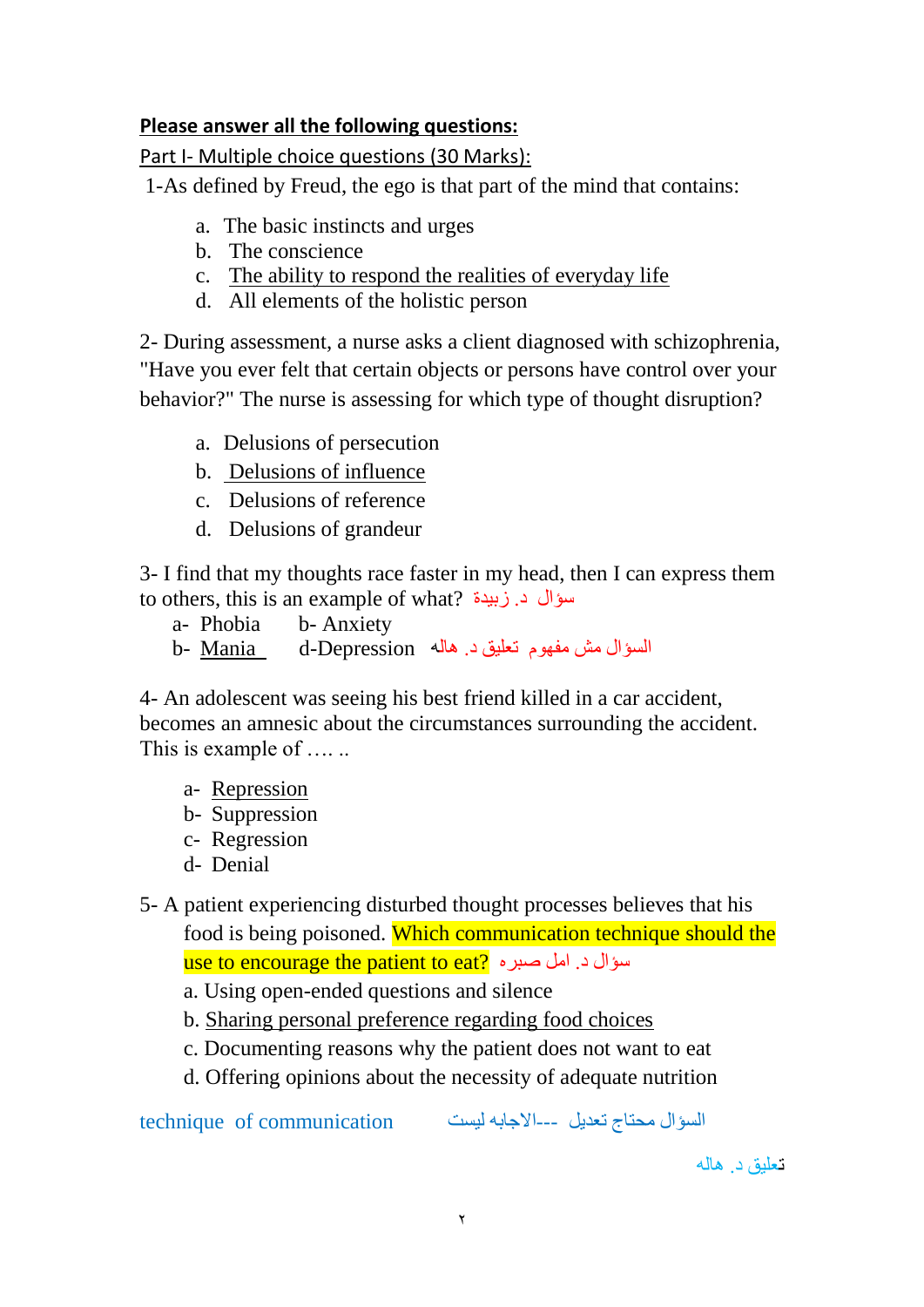#### **Please answer all the following questions:**

Part I- Multiple choice questions (30 Marks):

1-As defined by Freud, the ego is that part of the mind that contains:

- a. The basic instincts and urges
- b. The conscience
- c. The ability to respond the realities of everyday life
- d. All elements of the holistic person

2- During assessment, a nurse asks a client diagnosed with schizophrenia, "Have you ever felt that certain objects or persons have control over your behavior?" The nurse is assessing for which type of thought disruption?

- a. Delusions of persecution
- b. Delusions of influence
- c. Delusions of reference
- d. Delusions of grandeur

3- I find that my thoughts race faster in my head, then I can express them to others, this is an example of what? سبيذة .د سؤال

- a- Phobia b- Anxiety
- السؤال مش مفهوم تعليق د. هاله d-Depression d

4- An adolescent was seeing his best friend killed in a car accident, becomes an amnesic about the circumstances surrounding the accident. This is example of ......

- a- Repression
- b- Suppression
- c- Regression
- d- Denial

5- A patient experiencing disturbed thought processes believes that his food is being poisoned. Which communication technique should the use to encourage the patient to eat? سؤال د. امل صبره

- a. Using open-ended questions and silence
- b. Sharing personal preference regarding food choices
- c. Documenting reasons why the patient does not want to eat
- d. Offering opinions about the necessity of adequate nutrition

انسؤال يحخبج حعذيم ---االجببّ نيسج communication of technique

تعلّبق د. هاله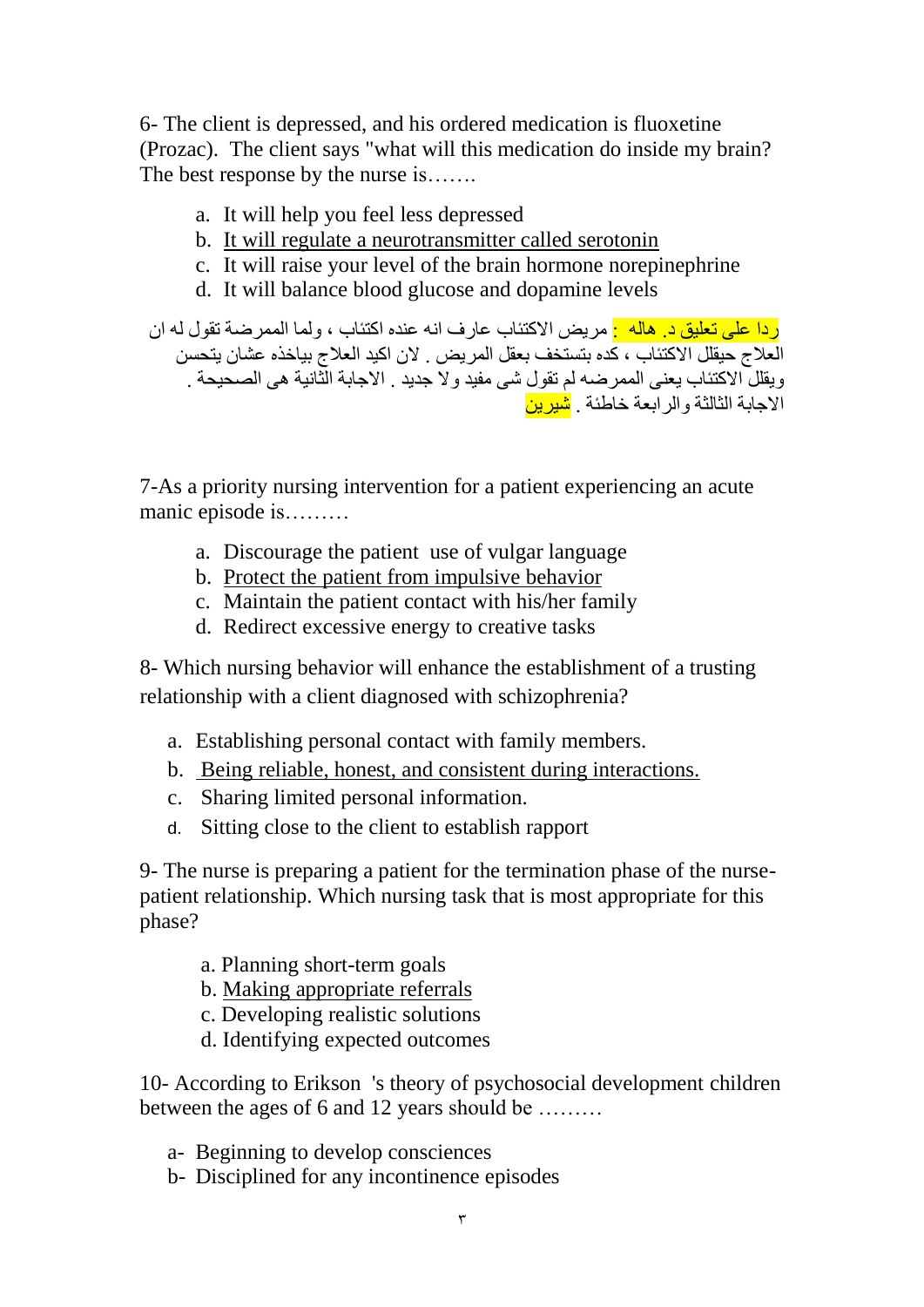6- The client is depressed, and his ordered medication is fluoxetine (Prozac). The client says "what will this medication do inside my brain? The best response by the nurse is…...

- a. It will help you feel less depressed
- b. It will regulate a neurotransmitter called serotonin
- c. It will raise your level of the brain hormone norepinephrine
- d. It will balance blood glucose and dopamine levels
- <mark>ر دا على تعليق د. هاله :</mark> مريض الاكتئاب عار ف انه عنده اكتئاب ، ولما الممر ضنة تقول له ان العلاج حيقلل الاكتئاب ، كذِ بتستخف بعقل المريض . لأن اكيد العلاج بياخذِه عشان يتحسن ويقللّ الاكتئاب يعني الممرضه لم تقول شى مفيد ولا جديد . الاجابة الثّانية هي الصحيحة . الإحابة الثالثة والر ابعة خاطئة . <mark>شيرين</mark>

7-As a priority nursing intervention for a patient experiencing an acute manic episode is………

- a. Discourage the patient use of vulgar language
- b. Protect the patient from impulsive behavior
- c. Maintain the patient contact with his/her family
- d. Redirect excessive energy to creative tasks

8- Which nursing behavior will enhance the establishment of a trusting relationship with a client diagnosed with schizophrenia?

- a. Establishing personal contact with family members.
- b. Being reliable, honest, and consistent during interactions.
- c. Sharing limited personal information.
- d. Sitting close to the client to establish rapport

9- The nurse is preparing a patient for the termination phase of the nursepatient relationship. Which nursing task that is most appropriate for this phase?

- a. Planning short-term goals
- b. Making appropriate referrals
- c. Developing realistic solutions
- d. Identifying expected outcomes

10- According to Erikson 's theory of psychosocial development children between the ages of 6 and 12 years should be ………

- a- Beginning to develop consciences
- b- Disciplined for any incontinence episodes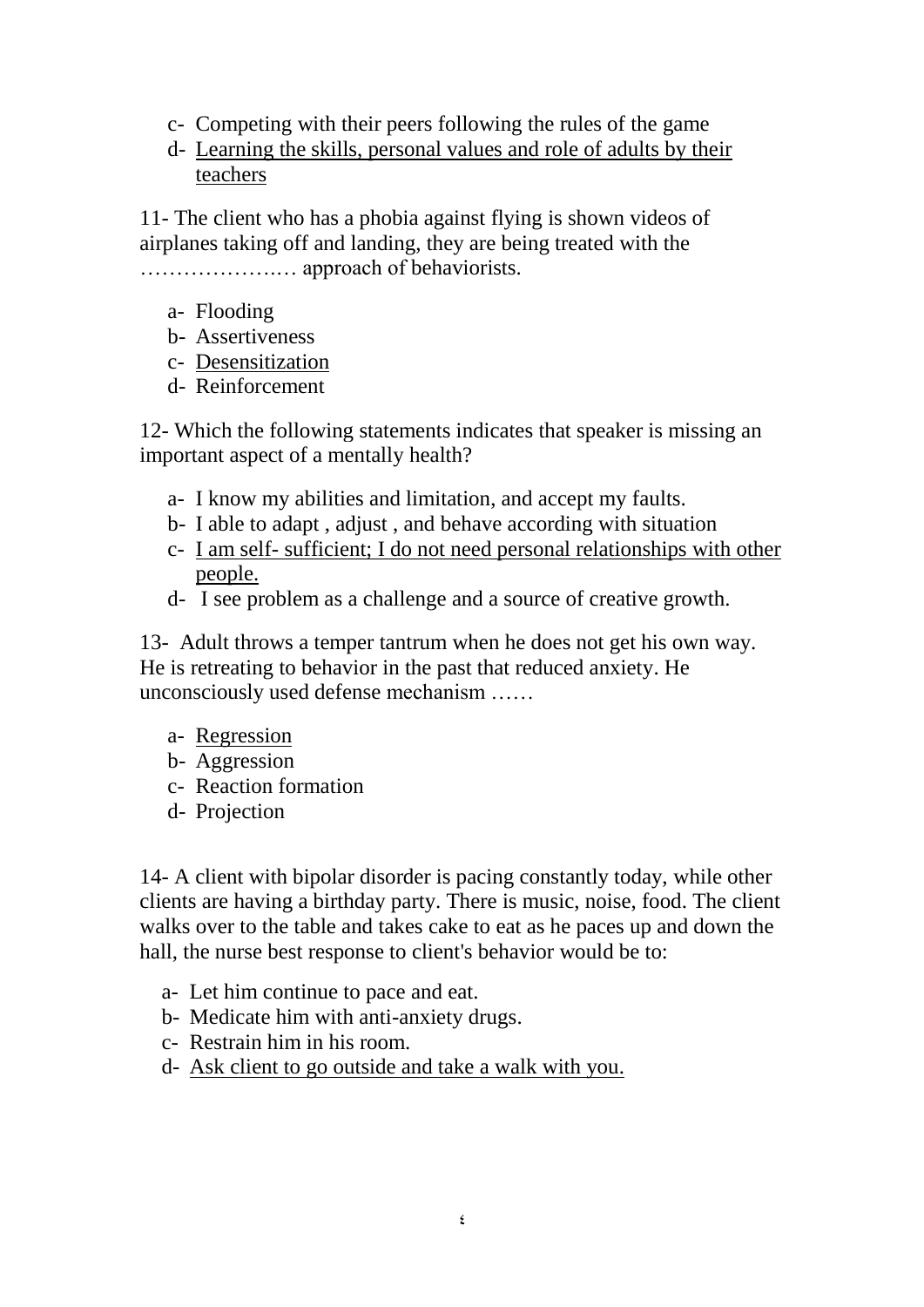- c- Competing with their peers following the rules of the game
- d- Learning the skills, personal values and role of adults by their teachers

11- The client who has a phobia against flying is shown videos of airplanes taking off and landing, they are being treated with the ……………….… approach of behaviorists.

- a- Flooding
- b- Assertiveness
- c- Desensitization
- d- Reinforcement

12- Which the following statements indicates that speaker is missing an important aspect of a mentally health?

- a- I know my abilities and limitation, and accept my faults.
- b- I able to adapt , adjust , and behave according with situation
- c- I am self- sufficient; I do not need personal relationships with other people.
- d- I see problem as a challenge and a source of creative growth.

13- Adult throws a temper tantrum when he does not get his own way. He is retreating to behavior in the past that reduced anxiety. He unconsciously used defense mechanism ……

- a- Regression
- b- Aggression
- c- Reaction formation
- d- Projection

14- A client with bipolar disorder is pacing constantly today, while other clients are having a birthday party. There is music, noise, food. The client walks over to the table and takes cake to eat as he paces up and down the hall, the nurse best response to client's behavior would be to:

- a- Let him continue to pace and eat.
- b- Medicate him with anti-anxiety drugs.
- c- Restrain him in his room.
- d- Ask client to go outside and take a walk with you.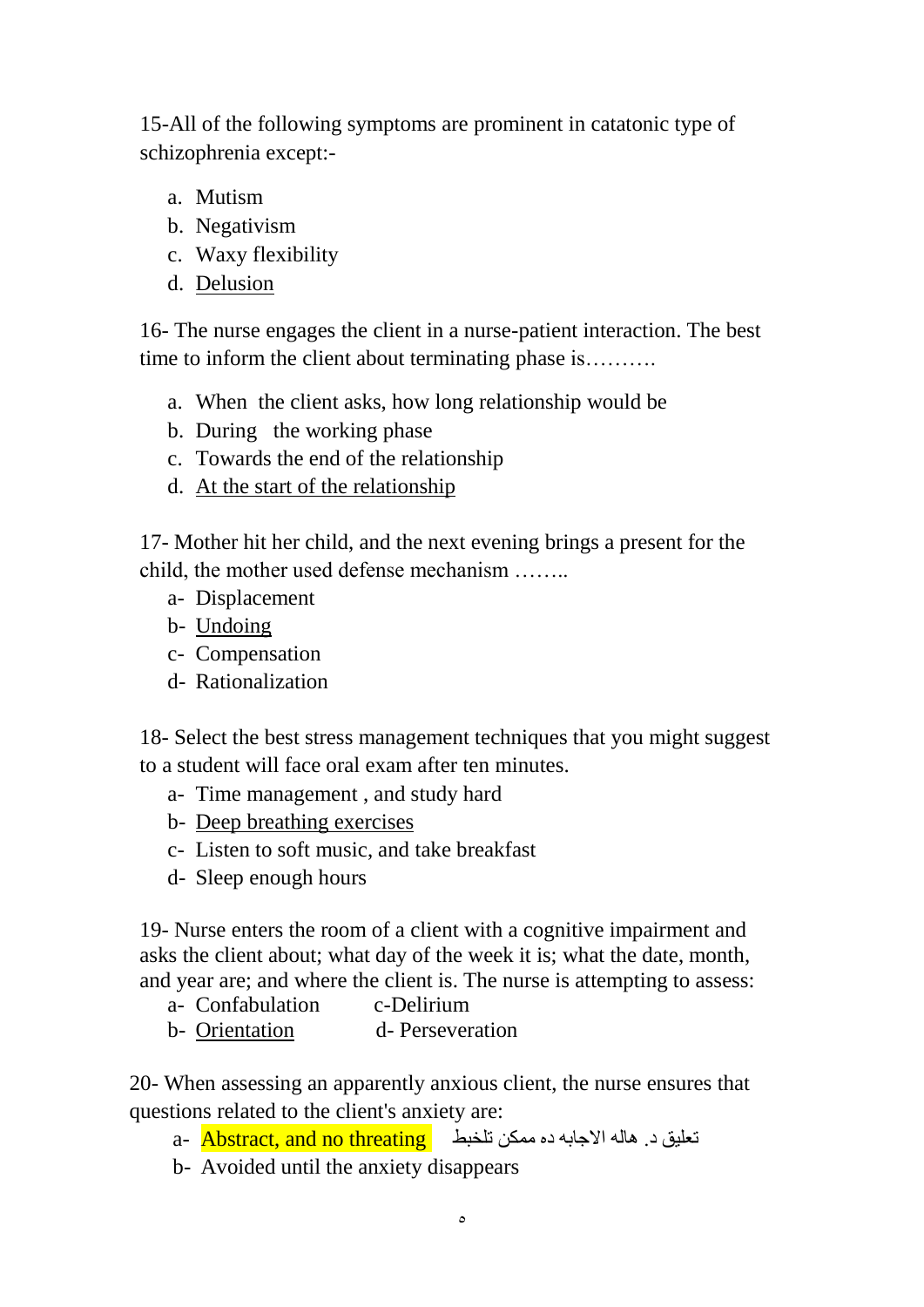15-All of the following symptoms are prominent in catatonic type of schizophrenia except:-

- a. Mutism
- b. Negativism
- c. Waxy flexibility
- d. Delusion

16- The nurse engages the client in a nurse-patient interaction. The best time to inform the client about terminating phase is……..

- a. When the client asks, how long relationship would be
- b. During the working phase
- c. Towards the end of the relationship
- d. At the start of the relationship

17- Mother hit her child, and the next evening brings a present for the child, the mother used defense mechanism ……..

- a- Displacement
- b- Undoing
- c- Compensation
- d- Rationalization

18- Select the best stress management techniques that you might suggest to a student will face oral exam after ten minutes.

- a- Time management , and study hard
- b- Deep breathing exercises
- c- Listen to soft music, and take breakfast
- d- Sleep enough hours

19- Nurse enters the room of a client with a cognitive impairment and asks the client about; what day of the week it is; what the date, month, and year are; and where the client is. The nurse is attempting to assess:

- a- Confabulation c-Delirium
- b- Orientation d- Perseveration

20- When assessing an apparently anxious client, the nurse ensures that questions related to the client's anxiety are:

a- Abstract, and no threating - تعليق د. هاله الاجابه ده ممكن تلخبط

b- Avoided until the anxiety disappears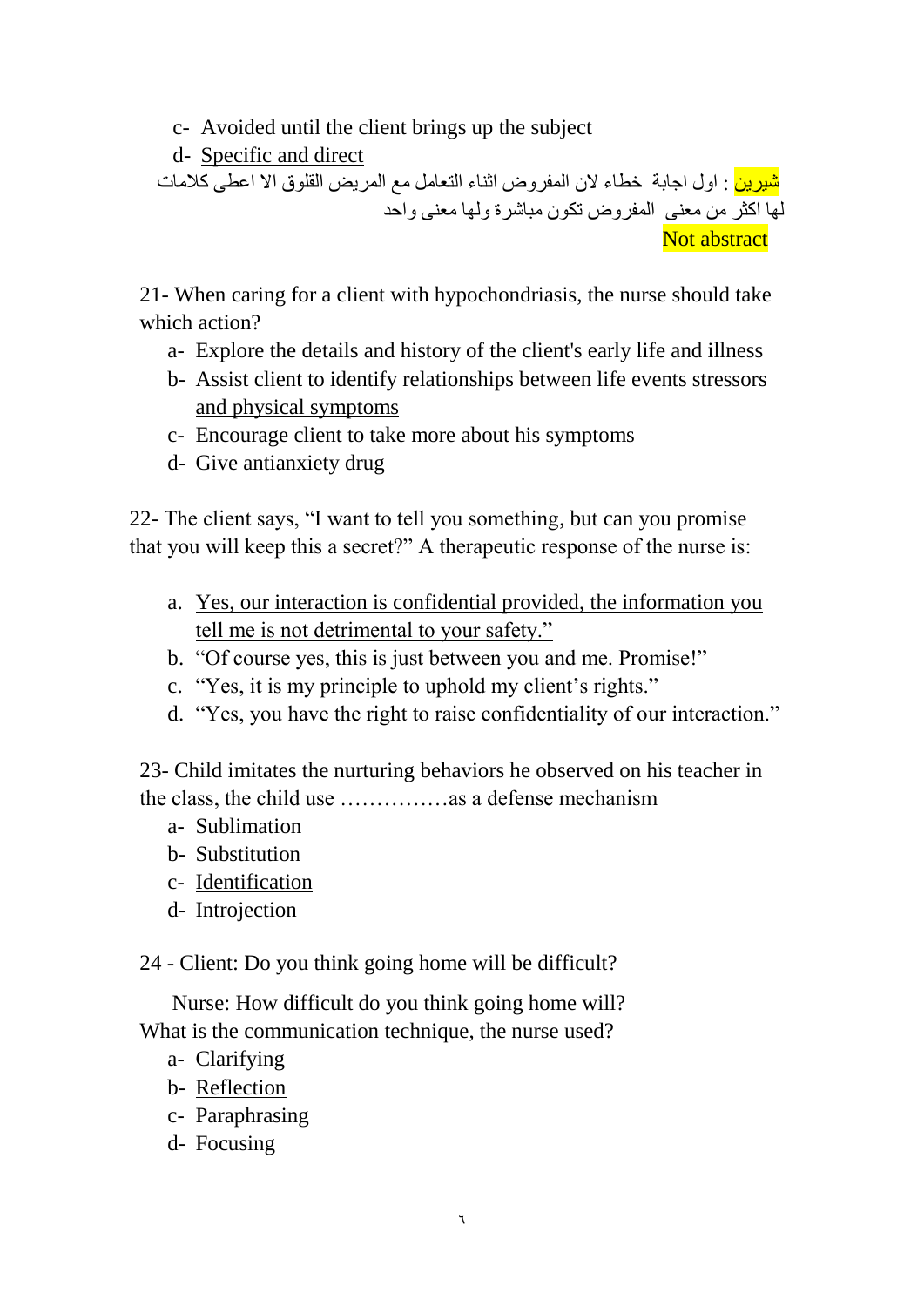c- Avoided until the client brings up the subject

d- Specific and direct

<mark>شيرين</mark> : اول اجابة خطاء لأن المفروض اثناء النعامل مع المريض القلوق الا اعطى كلامات لّها اكثر من معنى المفروض نكون مباشرة ولمها معنى واحد Not abstract

21- When caring for a client with hypochondriasis, the nurse should take which action?

- a- Explore the details and history of the client's early life and illness
- b- Assist client to identify relationships between life events stressors and physical symptoms
- c- Encourage client to take more about his symptoms
- d- Give antianxiety drug

22- The client says, "I want to tell you something, but can you promise that you will keep this a secret?" A therapeutic response of the nurse is:

- a. Yes, our interaction is confidential provided, the information you tell me is not detrimental to your safety."
- b. "Of course yes, this is just between you and me. Promise!"
- c. "Yes, it is my principle to uphold my client's rights."
- d. "Yes, you have the right to raise confidentiality of our interaction."

23- Child imitates the nurturing behaviors he observed on his teacher in the class, the child use ……………as a defense mechanism

- a- Sublimation
- b- Substitution
- c- Identification
- d- Introjection

24 - Client: Do you think going home will be difficult?

 Nurse: How difficult do you think going home will? What is the communication technique, the nurse used?

- a- Clarifying
- b- Reflection
- c- Paraphrasing
- d- Focusing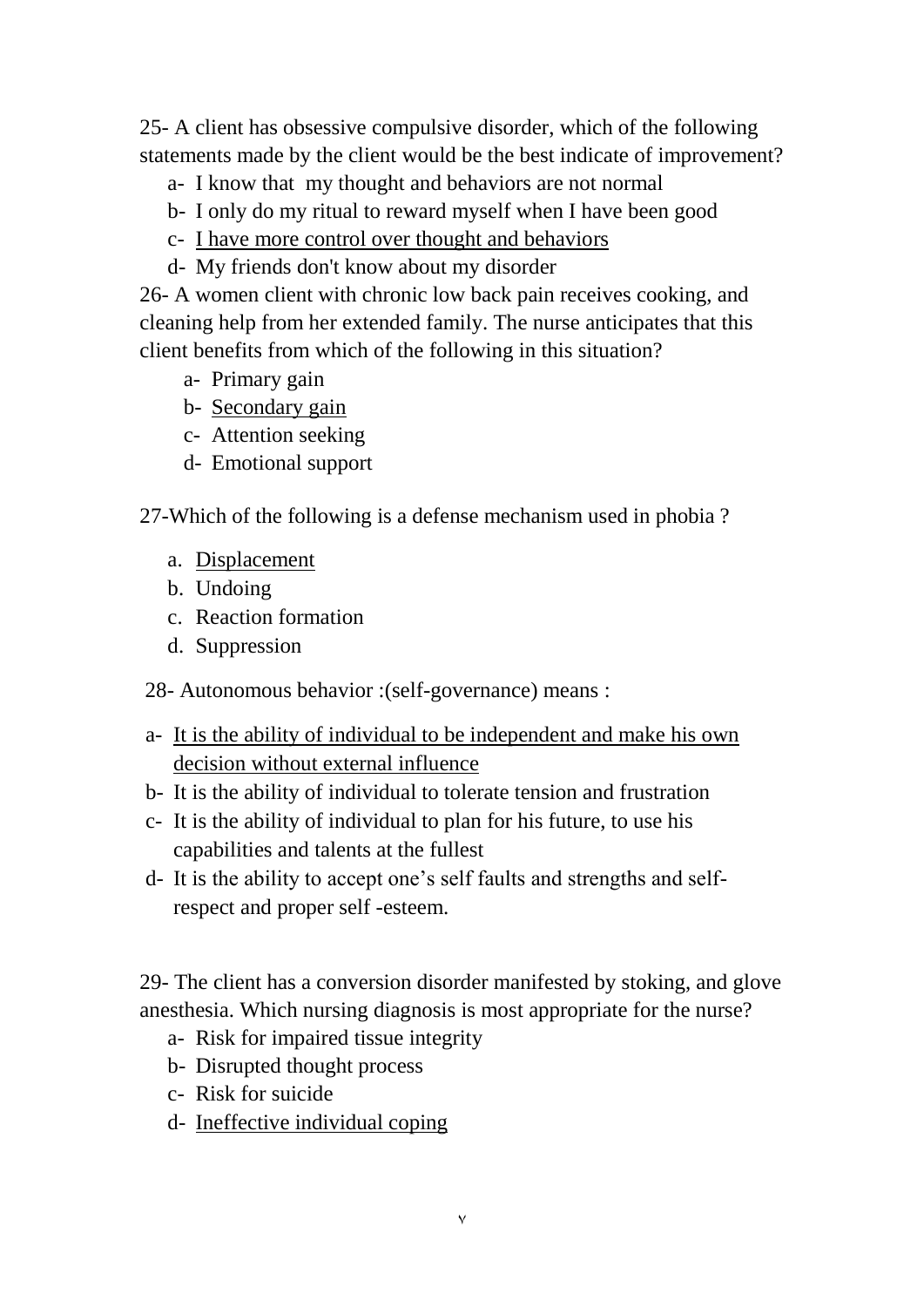25- A client has obsessive compulsive disorder, which of the following statements made by the client would be the best indicate of improvement?

- a- I know that my thought and behaviors are not normal
- b- I only do my ritual to reward myself when I have been good
- c- I have more control over thought and behaviors
- d- My friends don't know about my disorder

26- A women client with chronic low back pain receives cooking, and cleaning help from her extended family. The nurse anticipates that this client benefits from which of the following in this situation?

- a- Primary gain
- b- Secondary gain
- c- Attention seeking
- d- Emotional support

27-Which of the following is a defense mechanism used in phobia ?

- a. Displacement
- b. Undoing
- c. Reaction formation
- d. Suppression

28- Autonomous behavior :(self-governance) means :

- a- It is the ability of individual to be independent and make his own decision without external influence
- b- It is the ability of individual to tolerate tension and frustration
- c- It is the ability of individual to plan for his future, to use his capabilities and talents at the fullest
- d- It is the ability to accept one's self faults and strengths and selfrespect and proper self -esteem.

29- The client has a conversion disorder manifested by stoking, and glove anesthesia. Which nursing diagnosis is most appropriate for the nurse?

- a- Risk for impaired tissue integrity
- b- Disrupted thought process
- c- Risk for suicide
- d- Ineffective individual coping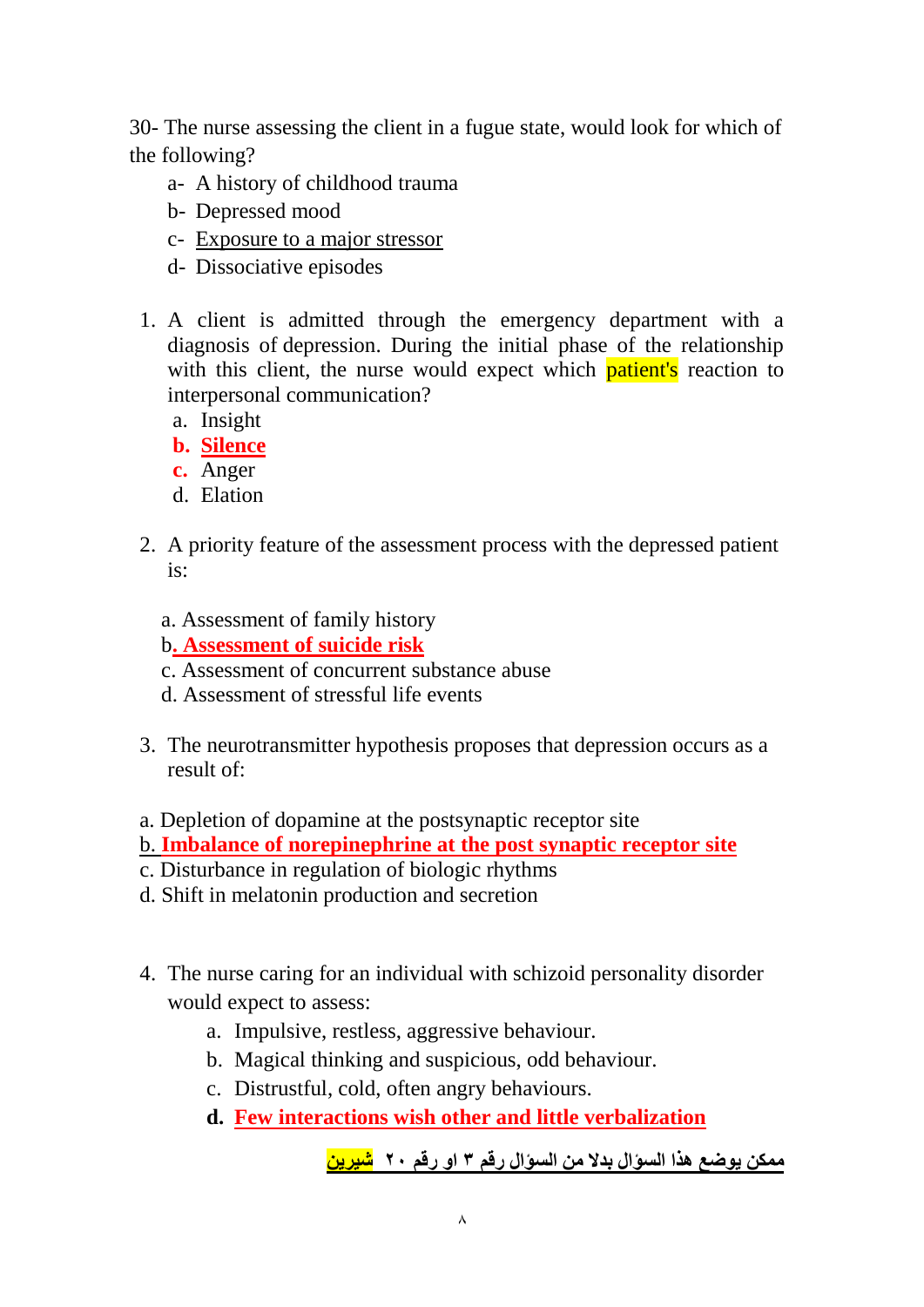30- The nurse assessing the client in a fugue state, would look for which of the following?

- a- A history of childhood trauma
- b- Depressed mood
- c- Exposure to a major stressor
- d- Dissociative episodes
- 1. A client is admitted through the emergency department with a diagnosis of depression. During the initial phase of the relationship with this client, the nurse would expect which **patient's** reaction to interpersonal communication?
	- a. Insight
	- **b. Silence**
	- **c.** Anger
	- d. Elation
- 2. A priority feature of the assessment process with the depressed patient is:
	- a. Assessment of family history
	- b**. Assessment of suicide risk**
	- c. Assessment of concurrent substance abuse
	- d. Assessment of stressful life events
- 3. The neurotransmitter hypothesis proposes that depression occurs as a result of:
- a. Depletion of dopamine at the postsynaptic receptor site
- b. **Imbalance of norepinephrine at the post synaptic receptor site**
- c. Disturbance in regulation of biologic rhythms
- d. Shift in melatonin production and secretion
- 4. The nurse caring for an individual with schizoid personality disorder would expect to assess:
	- a. Impulsive, restless, aggressive behaviour.
	- b. Magical thinking and suspicious, odd behaviour.
	- c. Distrustful, cold, often angry behaviours.
	- **d. Few interactions wish other and little verbalization**

```
ممكه يوضع هذا السؤال بدال مه السؤال رقم 3 او رقم 02 شيزيه
```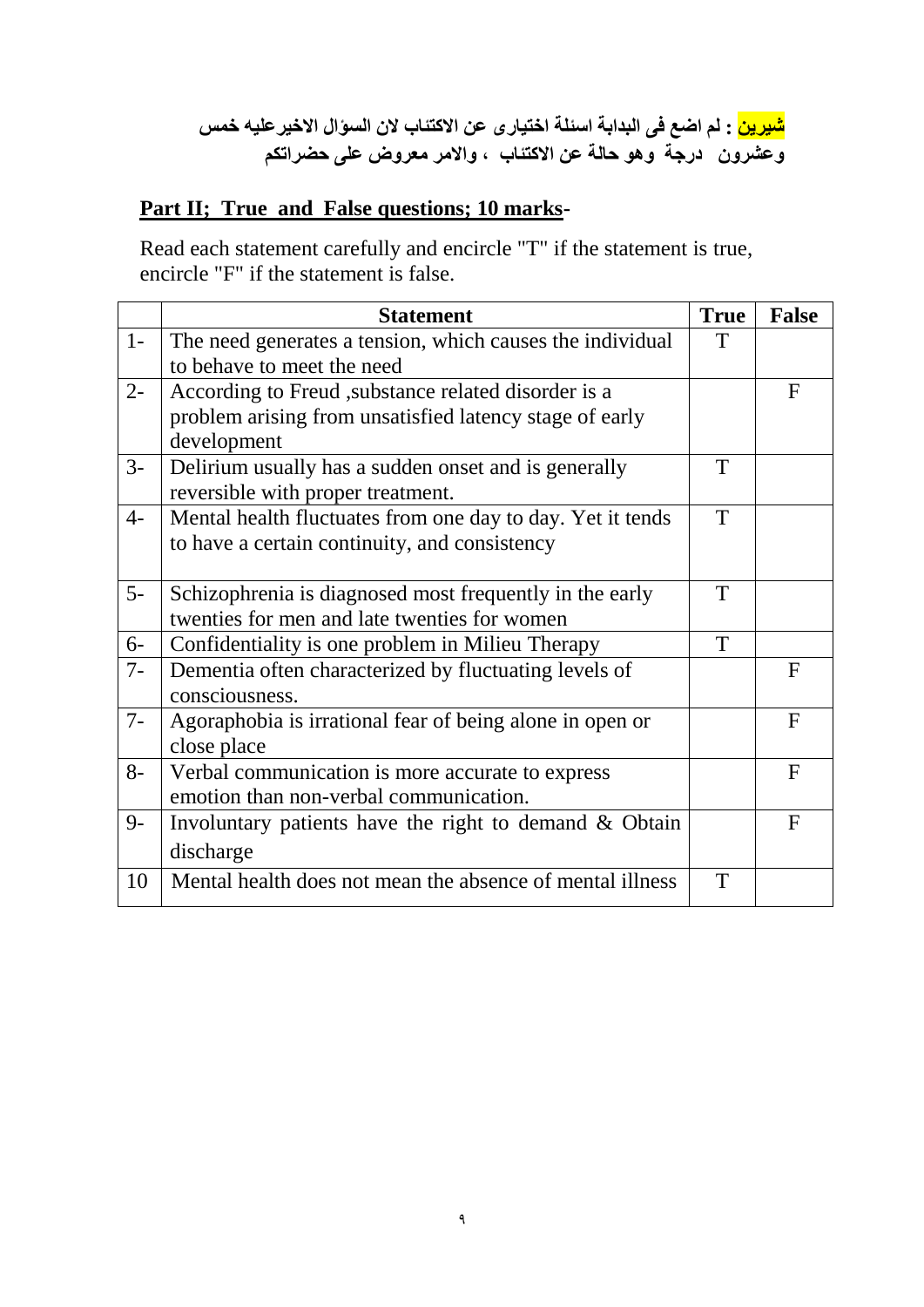## **شيزيه : لم اضع في البدابة اسئلة اختيبرى عه االكتئبة الن السؤال االخيزعليه خمس وعشزون درجة وهو حبلة عه االكتئبة , واالمز معزوض علي حضزاتكم**

## **Part II; True and False questions; 10 marks-**

Read each statement carefully and encircle "T" if the statement is true, encircle "F" if the statement is false.

|       | <b>Statement</b>                                           | <b>True</b> | <b>False</b> |
|-------|------------------------------------------------------------|-------------|--------------|
| $1-$  | The need generates a tension, which causes the individual  | T           |              |
|       | to behave to meet the need                                 |             |              |
| $2 -$ | According to Freud, substance related disorder is a        |             | $\mathbf F$  |
|       | problem arising from unsatisfied latency stage of early    |             |              |
|       | development                                                |             |              |
| $3-$  | Delirium usually has a sudden onset and is generally       | T           |              |
|       | reversible with proper treatment.                          |             |              |
| $4-$  | Mental health fluctuates from one day to day. Yet it tends | T           |              |
|       | to have a certain continuity, and consistency              |             |              |
|       |                                                            |             |              |
| $5-$  | Schizophrenia is diagnosed most frequently in the early    | T           |              |
|       | twenties for men and late twenties for women               |             |              |
| $6-$  | Confidentiality is one problem in Milieu Therapy           | T           |              |
| $7-$  | Dementia often characterized by fluctuating levels of      |             | $\mathbf{F}$ |
|       | consciousness.                                             |             |              |
| $7-$  | Agoraphobia is irrational fear of being alone in open or   |             | $\mathbf{F}$ |
|       | close place                                                |             |              |
| $8-$  | Verbal communication is more accurate to express           |             | $\mathbf{F}$ |
|       | emotion than non-verbal communication.                     |             |              |
| $9-$  | Involuntary patients have the right to demand $\&$ Obtain  |             | $\mathbf F$  |
|       | discharge                                                  |             |              |
| 10    | Mental health does not mean the absence of mental illness  | T           |              |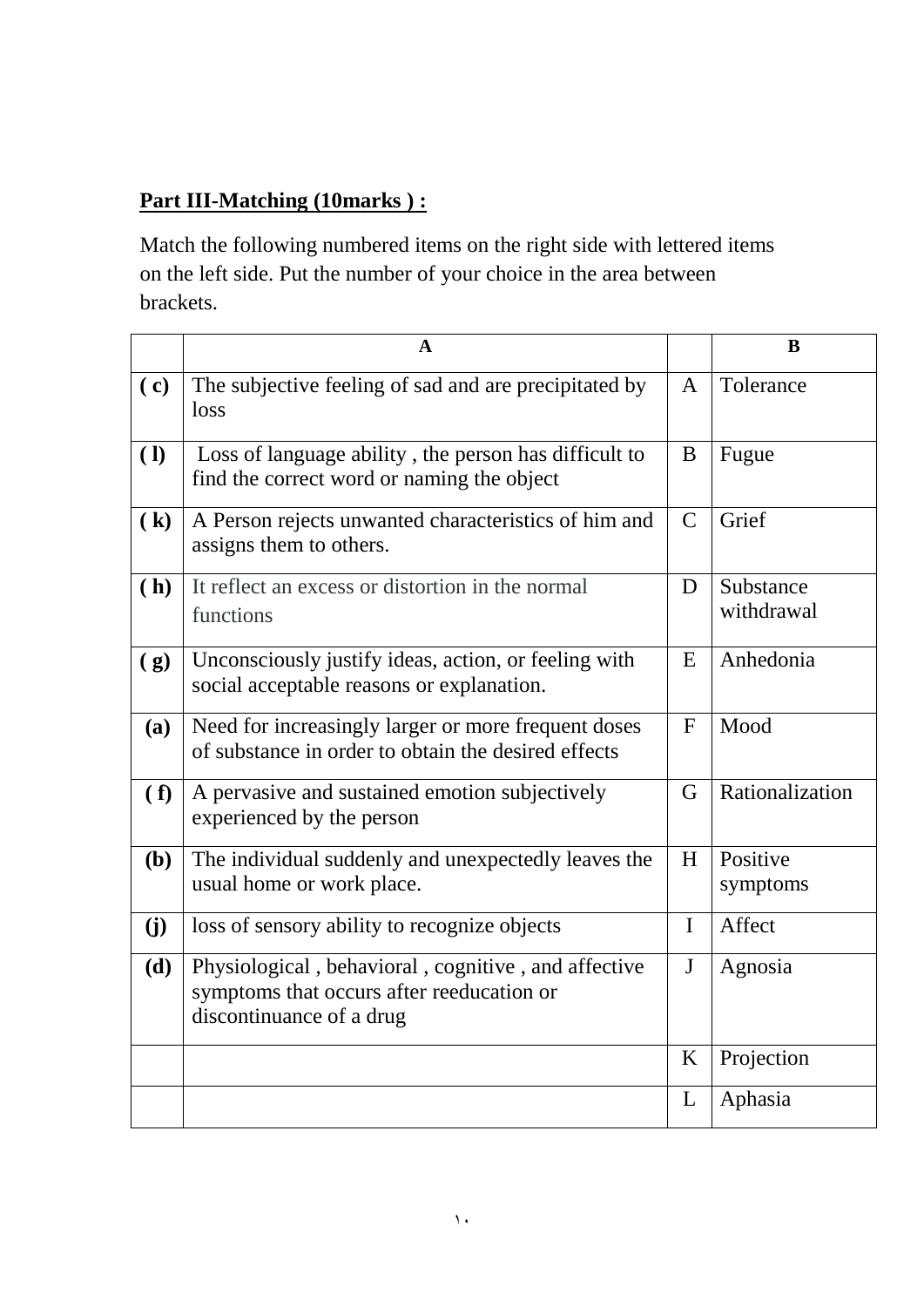## **Part III-Matching (10marks ) :**

Match the following numbered items on the right side with lettered items on the left side. Put the number of your choice in the area between brackets.

|              | $\mathbf A$                                                                                                                  |               | B                       |
|--------------|------------------------------------------------------------------------------------------------------------------------------|---------------|-------------------------|
| (c)          | The subjective feeling of sad and are precipitated by<br>loss                                                                | $\mathbf{A}$  | Tolerance               |
| ( <b>l</b> ) | Loss of language ability, the person has difficult to<br>find the correct word or naming the object                          | B             | Fugue                   |
| (k)          | A Person rejects unwanted characteristics of him and<br>assigns them to others.                                              | $\mathcal{C}$ | Grief                   |
| (h)          | It reflect an excess or distortion in the normal<br>functions                                                                | D             | Substance<br>withdrawal |
| (g)          | Unconsciously justify ideas, action, or feeling with<br>social acceptable reasons or explanation.                            | E             | Anhedonia               |
| (a)          | Need for increasingly larger or more frequent doses<br>of substance in order to obtain the desired effects                   | $\mathbf{F}$  | Mood                    |
| (f)          | A pervasive and sustained emotion subjectively<br>experienced by the person                                                  | G             | Rationalization         |
| (b)          | The individual suddenly and unexpectedly leaves the<br>usual home or work place.                                             | H             | Positive<br>symptoms    |
| (j)          | loss of sensory ability to recognize objects                                                                                 | I             | Affect                  |
| (d)          | Physiological, behavioral, cognitive, and affective<br>symptoms that occurs after reeducation or<br>discontinuance of a drug | $\mathbf{J}$  | Agnosia                 |
|              |                                                                                                                              | K             | Projection              |
|              |                                                                                                                              | L             | Aphasia                 |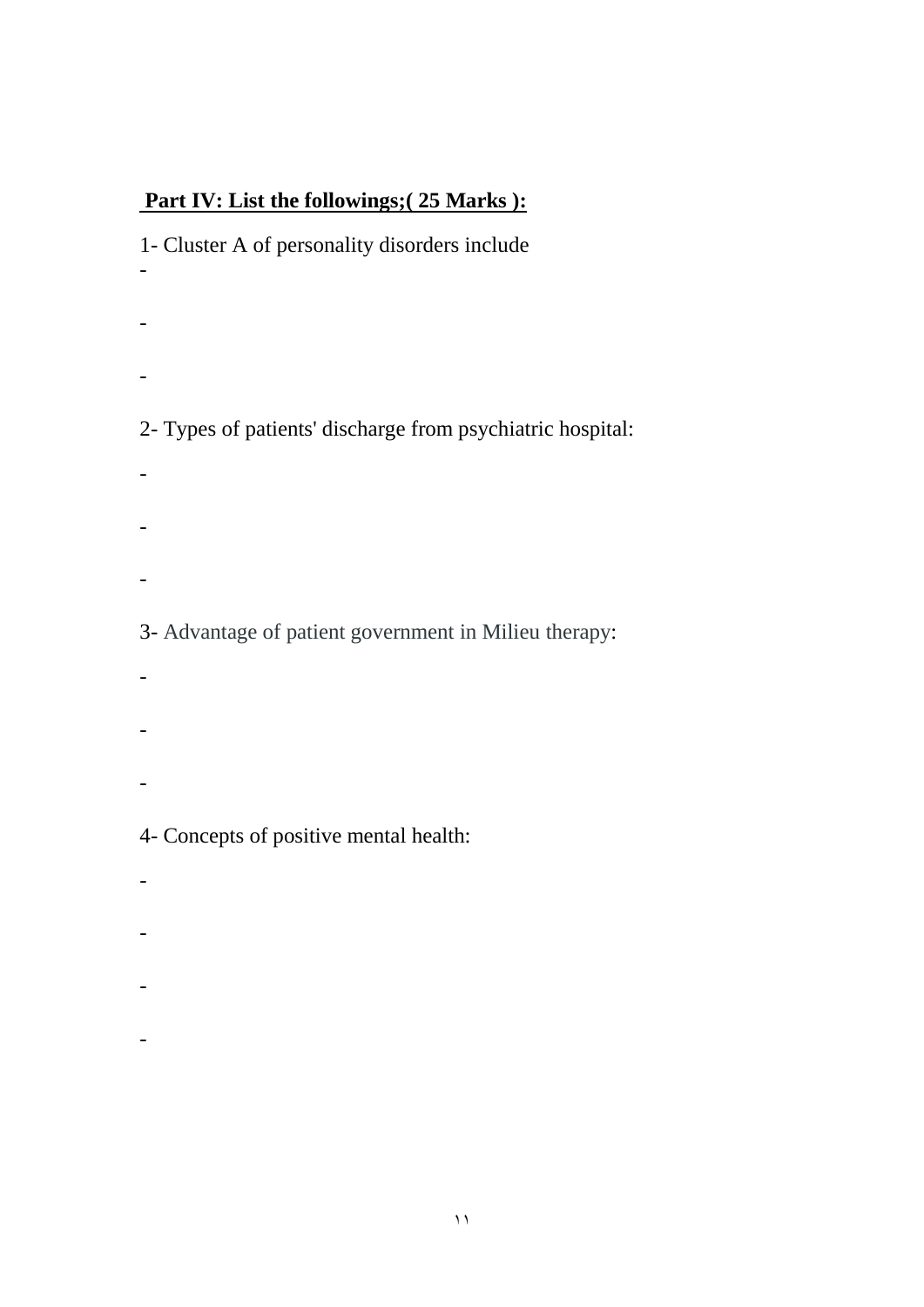## **Part IV: List the followings;( 25 Marks ):**

1- Cluster A of personality disorders include - - - 2- Types of patients' discharge from psychiatric hospital: - - -

3- Advantage of patient government in Milieu therapy:

- -
- -

4- Concepts of positive mental health:

- -
- -
- -
- 
- -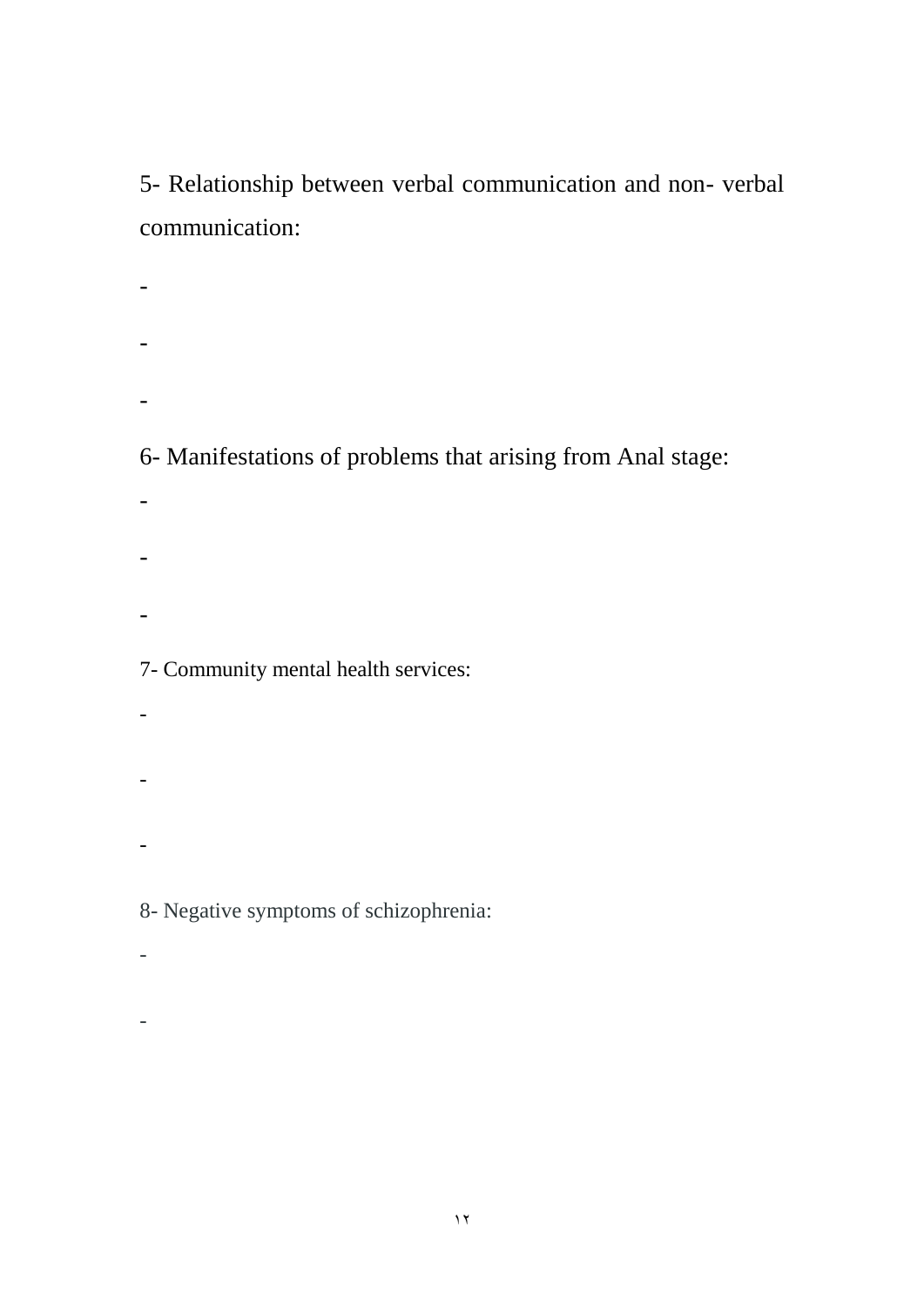5- Relationship between verbal communication and non- verbal communication:

- - -

6- Manifestations of problems that arising from Anal stage:

- -
- -

## 7- Community mental health services:

- $\pm$ -
- -

8- Negative symptoms of schizophrenia:

 $\mathbb{L}^{\mathbb{Z}}$ 

 $\overline{\phantom{a}}$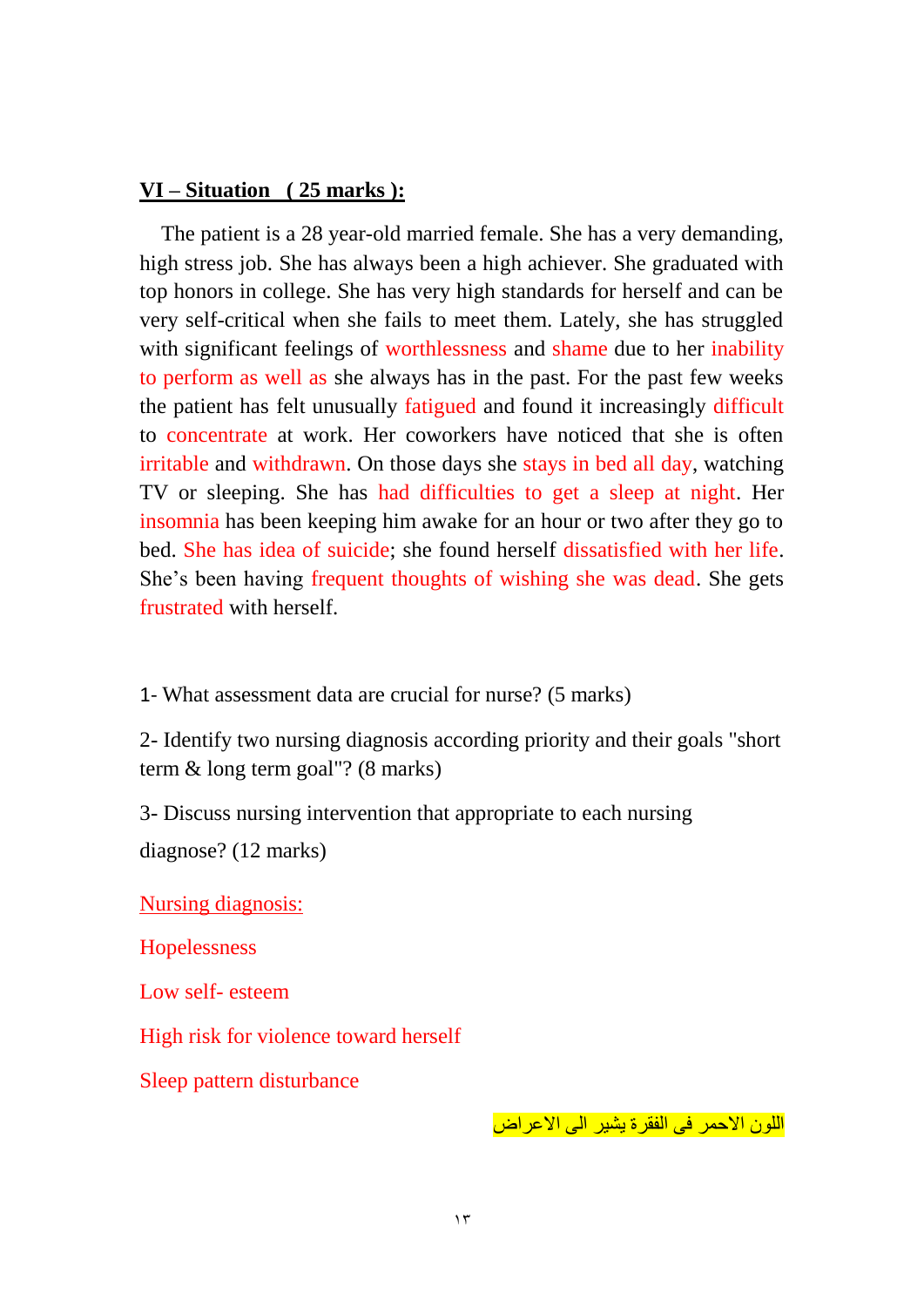#### **VI – Situation ( 25 marks ):**

 The patient is a 28 year-old married female. She has a very demanding, high stress job. She has always been a high achiever. She graduated with top honors in college. She has very high standards for herself and can be very self-critical when she fails to meet them. Lately, she has struggled with significant feelings of worthlessness and shame due to her inability to perform as well as she always has in the past. For the past few weeks the patient has felt unusually fatigued and found it increasingly difficult to concentrate at work. Her coworkers have noticed that she is often irritable and withdrawn. On those days she stays in bed all day, watching TV or sleeping. She has had difficulties to get a sleep at night. Her insomnia has been keeping him awake for an hour or two after they go to bed. She has idea of suicide; she found herself dissatisfied with her life. She's been having frequent thoughts of wishing she was dead. She gets frustrated with herself.

1- What assessment data are crucial for nurse? (5 marks)

2- Identify two nursing diagnosis according priority and their goals "short term & long term goal"? (8 marks)

3- Discuss nursing intervention that appropriate to each nursing

diagnose? (12 marks)

Nursing diagnosis:

Hopelessness

Low self- esteem

High risk for violence toward herself

Sleep pattern disturbance

اللون الأحمر فى الفقرة يشير الى الأعراض